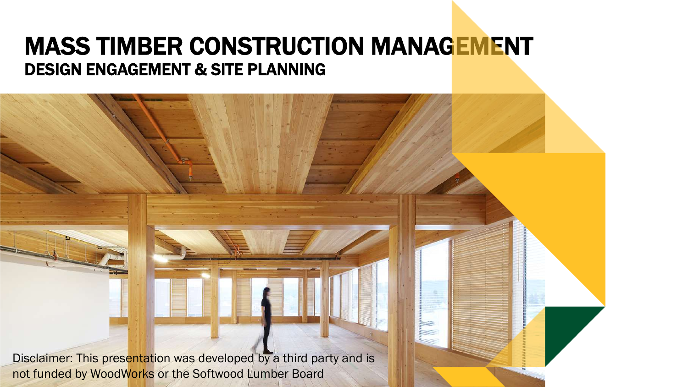### MASS TIMBER CONSTRUCTION MANAGEMENT DESIGN ENGAGEMENT & SITE PLANNING

Disclaimer: This presentation was developed by a third party and is not funded by WoodWorks or the Softwood Lumber Board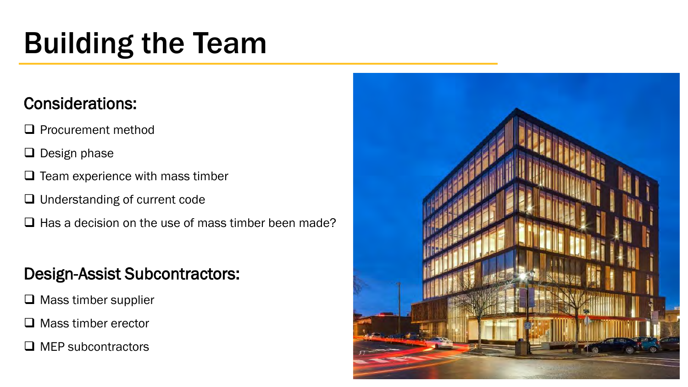# Building the Team

### Considerations:

- ❑ Procurement method
- ❑ Design phase
- $\Box$  Team experience with mass timber
- ❑ Understanding of current code
- $\Box$  Has a decision on the use of mass timber been made?

### Design-Assist Subcontractors:

- ❑ Mass timber supplier
- ❑ Mass timber erector
- ❑ MEP subcontractors

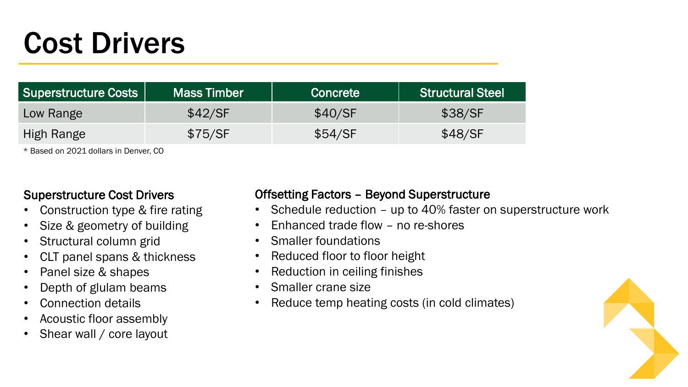# Cost Drivers

| <b>Superstructure Costs</b> | Mass Timber | <b>Concrete</b> | <b>Structural Steel</b> |
|-----------------------------|-------------|-----------------|-------------------------|
| Low Range                   | \$42/SF     | \$40/SF         | \$38/SF                 |
| High Range                  | \$75/SF     | \$54/SF         | \$48/SF                 |

\* Based on 2021 dollars in Denver, CO

### Superstructure Cost Drivers

- Construction type & fire rating
- Size & geometry of building
- Structural column grid
- CLT panel spans & thickness
- Panel size & shapes
- Depth of glulam beams
- Connection details
- Acoustic floor assembly
- Shear wall / core layout

#### Offsetting Factors – Beyond Superstructure

- Schedule reduction up to 40% faster on superstructure work
- Enhanced trade flow no re-shores
- Smaller foundations
- Reduced floor to floor height
- Reduction in ceiling finishes
- Smaller crane size
- Reduce temp heating costs (in cold climates)

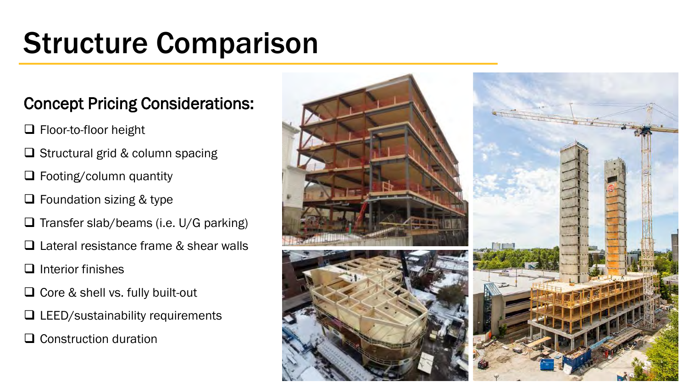# Structure Comparison

### Concept Pricing Considerations:

- ❑ Floor-to-floor height
- ❑ Structural grid & column spacing
- ❑ Footing/column quantity
- ❑ Foundation sizing & type
- ❑ Transfer slab/beams (i.e. U/G parking)
- ❑ Lateral resistance frame & shear walls
- ❑ Interior finishes
- ❑ Core & shell vs. fully built-out
- ❑ LEED/sustainability requirements
- ❑ Construction duration

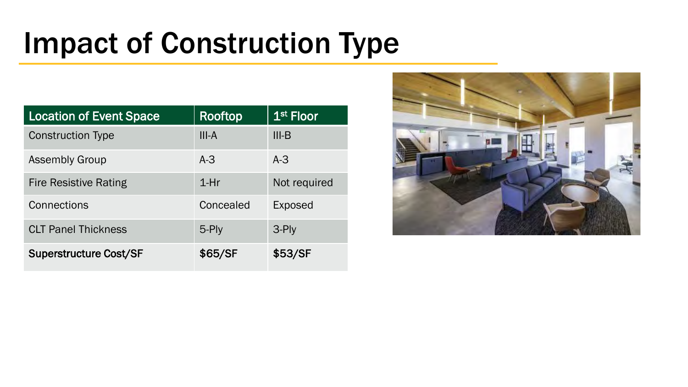# Impact of Construction Type

| <b>Location of Event Space</b> | Rooftop   | $1st$ Floor    |
|--------------------------------|-----------|----------------|
| <b>Construction Type</b>       | $III-A$   | $III-B$        |
| <b>Assembly Group</b>          | $A-3$     | $A-3$          |
| <b>Fire Resistive Rating</b>   | $1-Hr$    | Not required   |
| Connections                    | Concealed | <b>Exposed</b> |
| <b>CLT Panel Thickness</b>     | 5-Ply     | 3-Ply          |
| <b>Superstructure Cost/SF</b>  | \$65/SF   | \$53/SF        |

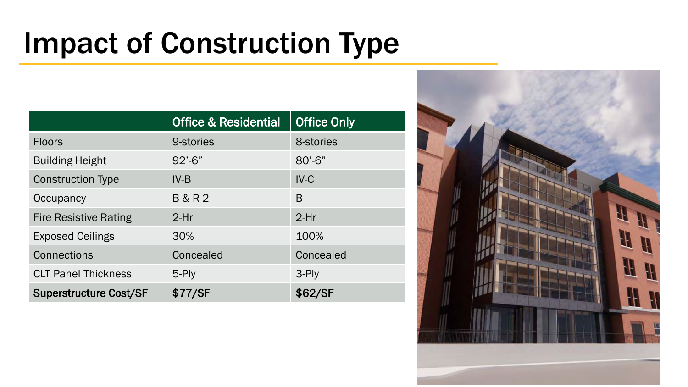# Impact of Construction Type

|                               | <b>Office &amp; Residential</b> | <b>Office Only</b> |
|-------------------------------|---------------------------------|--------------------|
| <b>Floors</b>                 | 9-stories                       | 8-stories          |
| <b>Building Height</b>        | $92' - 6''$                     | $80' - 6"$         |
| <b>Construction Type</b>      | $IV-B$                          | $IV-C$             |
| Occupancy                     | <b>B &amp; R-2</b>              | B                  |
| <b>Fire Resistive Rating</b>  | $2-Hr$                          | $2-Hr$             |
| <b>Exposed Ceilings</b>       | 30%                             | 100%               |
| Connections                   | Concealed                       | Concealed          |
| <b>CLT Panel Thickness</b>    | 5-Ply                           | 3-Ply              |
| <b>Superstructure Cost/SF</b> | \$77/SF                         | \$62/SF            |

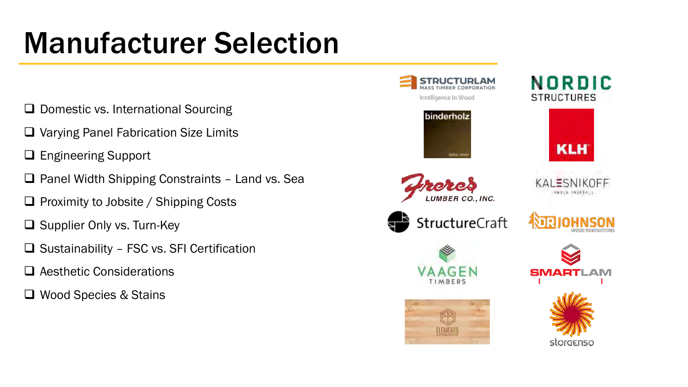# Manufacturer Selection

- ❑ Domestic vs. International Sourcing
- ❑ Varying Panel Fabrication Size Limits
- ❑ Engineering Support
- ❑ Panel Width Shipping Constraints Land vs. Sea
- ❑ Proximity to Jobsite / Shipping Costs
- ❑ Supplier Only vs. Turn-Key
- ❑ Sustainability FSC vs. SFI Certification
- ❑ Aesthetic Considerations
- ❑ Wood Species & Stains

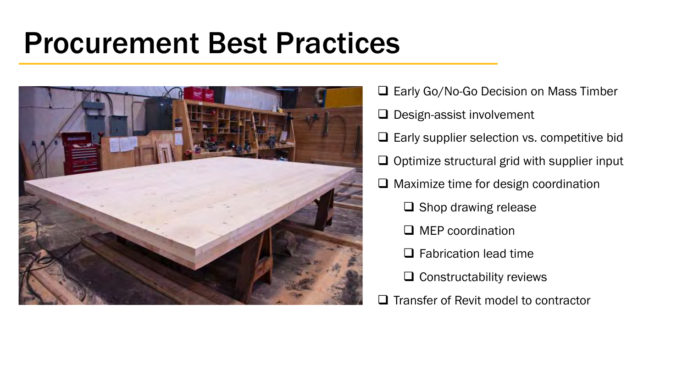## Procurement Best Practices



❑ Early Go/No-Go Decision on Mass Timber ❑ Design-assist involvement ❑ Early supplier selection vs. competitive bid ❑ Optimize structural grid with supplier input ❑ Maximize time for design coordination ❑ Shop drawing release ❑ MEP coordination □ Fabrication lead time ❑ Constructability reviews ❑ Transfer of Revit model to contractor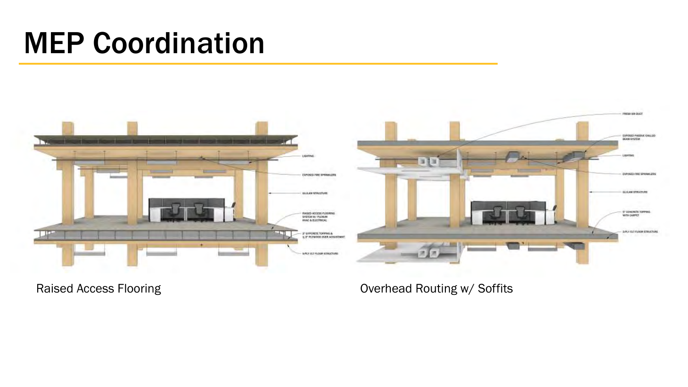# MEP Coordination





Raised Access Flooring **Contract Contract Contract Contract Contract Contract Contract Contract Contract Contract Contract Contract Contract Contract Contract Contract Contract Contract Contract Contract Contract Contract**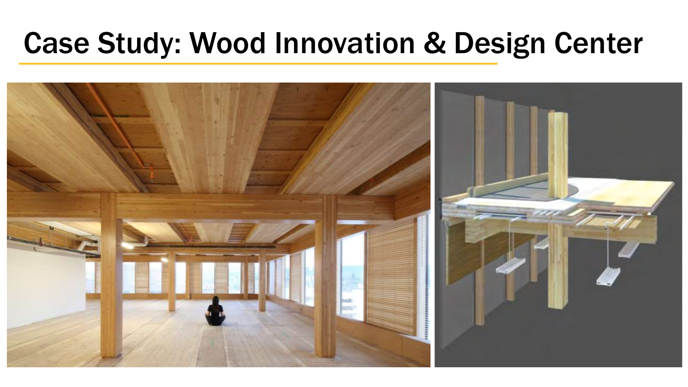## Case Study: Wood Innovation & Design Center

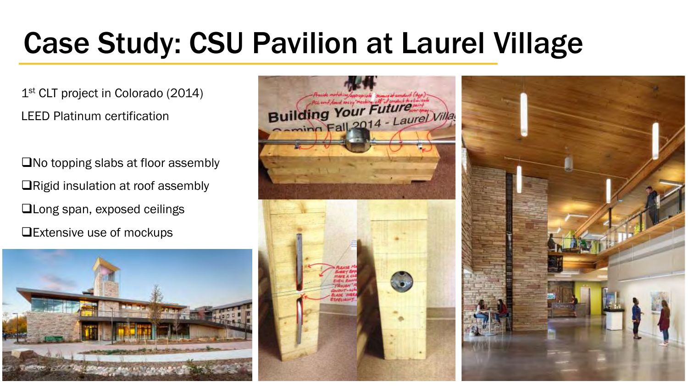# Case Study: CSU Pavilion at Laurel Village

1<sup>st</sup> CLT project in Colorado (2014) LEED Platinum certification

❑No topping slabs at floor assembly ❑Rigid insulation at roof assembly ❑Long span, exposed ceilings ❑Extensive use of mockups



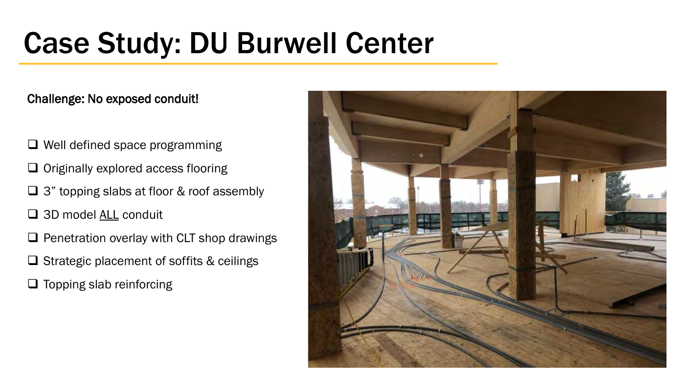# Case Study: DU Burwell Center

### Challenge: No exposed conduit!

- ❑ Well defined space programming
- ❑ Originally explored access flooring
- ❑ 3" topping slabs at floor & roof assembly
- □ 3D model <u>ALL</u> conduit
- ❑ Penetration overlay with CLT shop drawings
- ❑ Strategic placement of soffits & ceilings
- ❑ Topping slab reinforcing

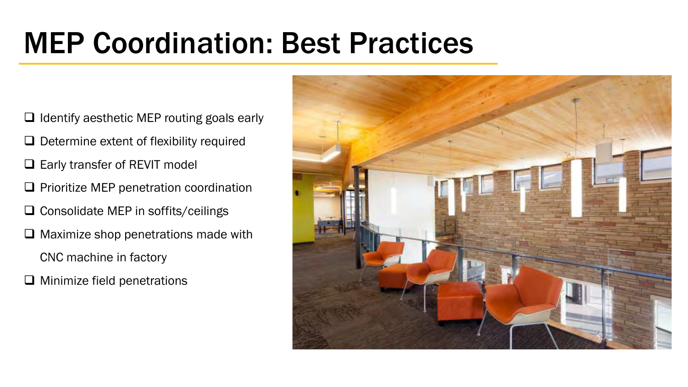# MEP Coordination: Best Practices

- ❑ Identify aesthetic MEP routing goals early
- ❑ Determine extent of flexibility required
- ❑ Early transfer of REVIT model
- ❑ Prioritize MEP penetration coordination
- ❑ Consolidate MEP in soffits/ceilings
- ❑ Maximize shop penetrations made with
	- CNC machine in factory
- ❑ Minimize field penetrations

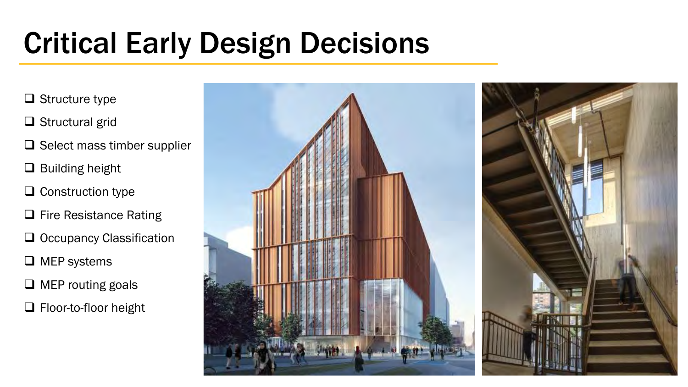# Critical Early Design Decisions

- ❑ Structure type
- ❑ Structural grid
- ❑ Select mass timber supplier
- ❑ Building height
- ❑ Construction type
- ❑ Fire Resistance Rating
- ❑ Occupancy Classification
- ❑ MEP systems
- ❑ MEP routing goals
- ❑ Floor-to-floor height

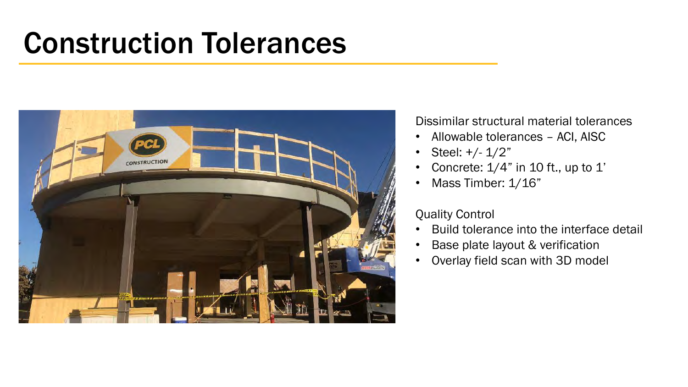## Construction Tolerances



Dissimilar structural material tolerances

- Allowable tolerances ACI, AISC
- Steel:  $+/- 1/2"$
- Concrete:  $1/4$ " in 10 ft., up to 1'
- Mass Timber: 1/16"

#### Quality Control

- Build tolerance into the interface detail
- Base plate layout & verification
- Overlay field scan with 3D model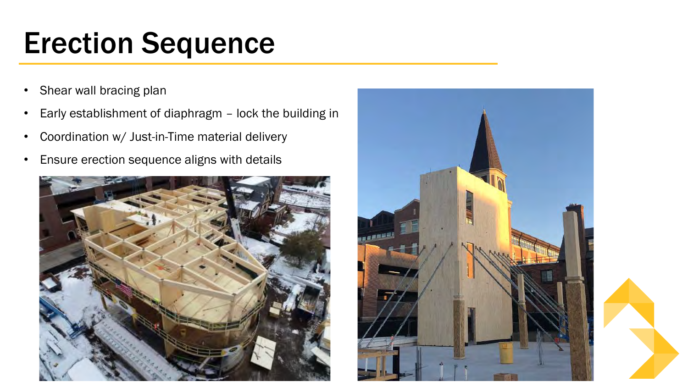# Erection Sequence

- Shear wall bracing plan
- Early establishment of diaphragm lock the building in
- Coordination w/ Just-in-Time material delivery
- Ensure erection sequence aligns with details



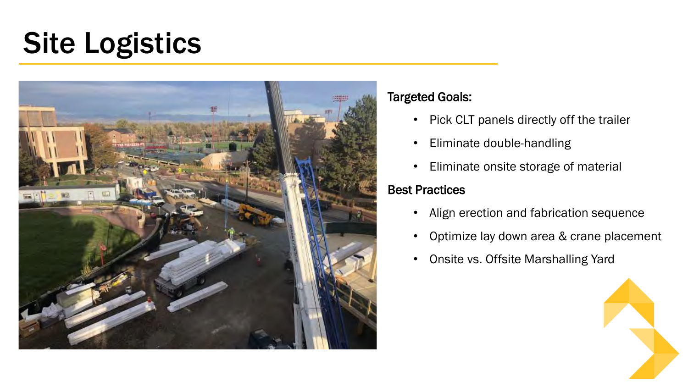# Site Logistics



#### Targeted Goals:

- Pick CLT panels directly off the trailer
- Eliminate double-handling
- Eliminate onsite storage of material

### Best Practices

- Align erection and fabrication sequence
- Optimize lay down area & crane placement
- Onsite vs. Offsite Marshalling Yard